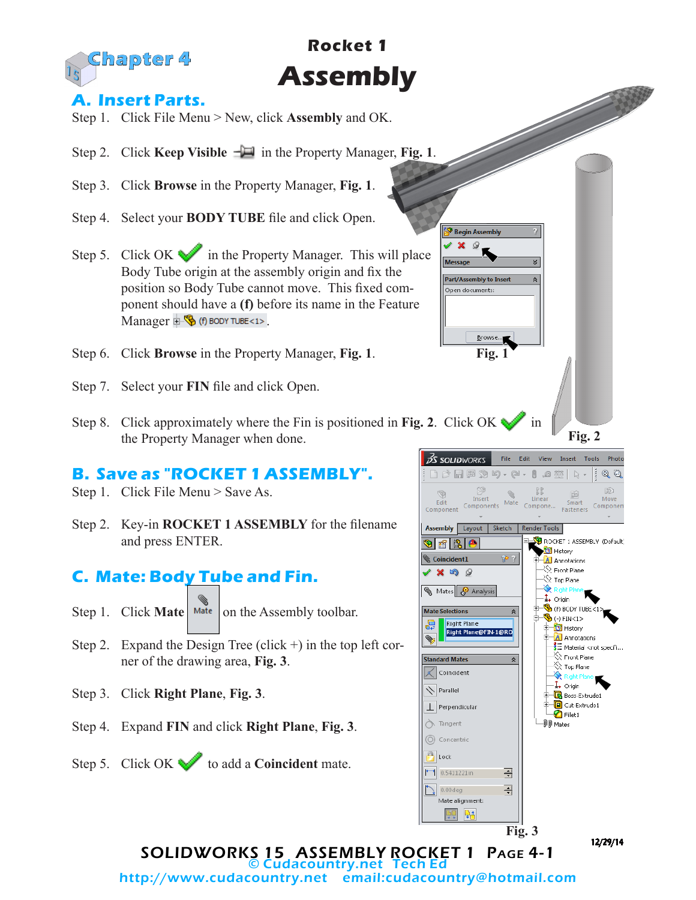

# **Rocket 1 Assembly**

#### **A. Insert Parts.**

- Step 1. Click File Menu > New, click **Assembly** and OK.
- Step 2. Click **Keep Visible**  $-\Box$  in the Property Manager, **Fig. 1**.
- Step 3. Click **Browse** in the Property Manager, **Fig. 1**.
- Step 4. Select your **BODY TUBE** file and click Open.
- Step 5. Click OK in the Property Manager. This will place Body Tube origin at the assembly origin and fix the position so Body Tube cannot move. This fixed component should have a **(f)** before its name in the Feature Manager  $\mathbb{E} \mathbb{S}$  (f) body TUBE<1>.
- Step 6. Click **Browse** in the Property Manager, **Fig. 1**.
- Step 7. Select your **FIN** file and click Open.
- Step 8. Click approximately where the Fin is positioned in Fig. 2. Click OK in the Property Manager when done.

### **B. Save as "ROCKET 1 ASSEMBLY".**

- Step 1. Click File Menu > Save As.
- Step 2. Key-in **ROCKET 1 ASSEMBLY** for the filename and press ENTER.

## **C. Mate: Body Tube and Fin.**

- Step 1. Click **Mate** Mate on the Assembly toolbar.
- Step 2. Expand the Design Tree (click  $+$ ) in the top left corner of the drawing area, **Fig. 3**.
- Step 3. Click **Right Plane**, **Fig. 3**.
- Step 4. Expand **FIN** and click **Right Plane**, **Fig. 3**.
- Step 5. Click OK to add a **Coincident** mate.



**Fig. 1**

Browse.

<sup>9</sup> Begin Assembly

Part/Assembly to Insert Open documents:

© Cudacountry.net Tech Ed http://www.cudacountry.net email:cudacountry@hotmail.com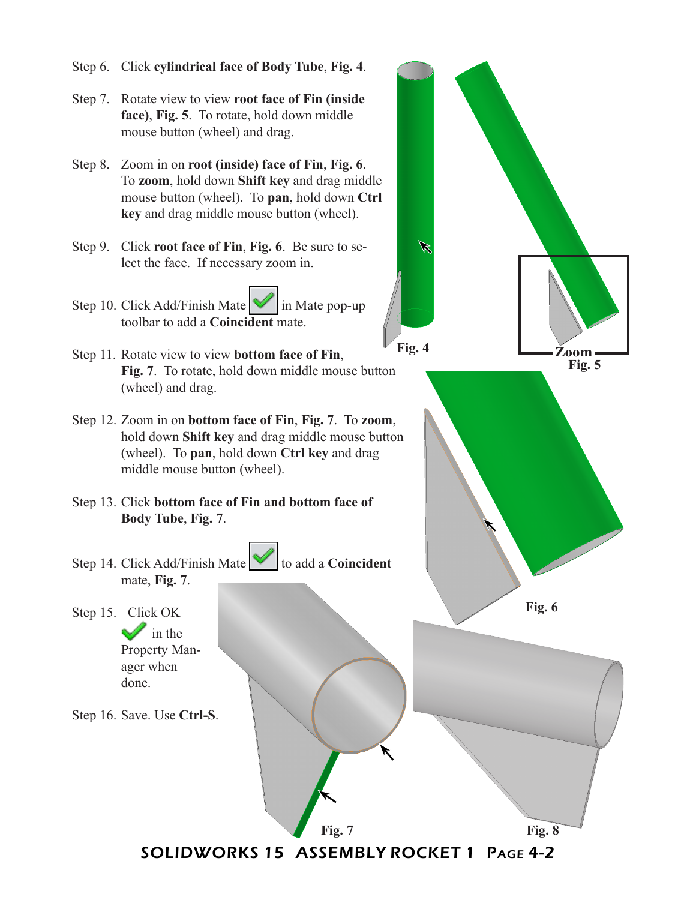Step 6. Click **cylindrical face of Body Tube**, **Fig. 4**. Step 7. Rotate view to view **root face of Fin (inside face)**, **Fig. 5**. To rotate, hold down middle mouse button (wheel) and drag. Step 8. Zoom in on **root (inside) face of Fin**, **Fig. 6**. To **zoom**, hold down **Shift key** and drag middle mouse button (wheel). To **pan**, hold down **Ctrl key** and drag middle mouse button (wheel). Step 9. Click **root face of Fin**, **Fig. 6**. Be sure to se-Ø lect the face. If necessary zoom in. Step 10. Click Add/Finish Mate  $\mathbb{V}$  in Mate pop-up toolbar to add a **Coincident** mate. **Fig. 4 Zoom**Step 11. Rotate view to view **bottom face of Fin**, **Fig. 5 Fig. 7**. To rotate, hold down middle mouse button (wheel) and drag. Step 12. Zoom in on **bottom face of Fin**, **Fig. 7**. To **zoom**, hold down **Shift key** and drag middle mouse button (wheel). To **pan**, hold down **Ctrl key** and drag middle mouse button (wheel). Step 13. Click **bottom face of Fin and bottom face of Body Tube**, **Fig. 7**. Step 14. Click Add/Finish Mate **v** to add a **Coincident** mate, **Fig. 7**. **Fig. 6** Step 15. Click OK  $\mathbf{r}$  in the Property Manager when done. Step 16. Save. Use **Ctrl-S**.

SOLIDWORKS 15 ASSEMBLY ROCKET 1 Page 4-2

**Fig. 7 Fig. 8**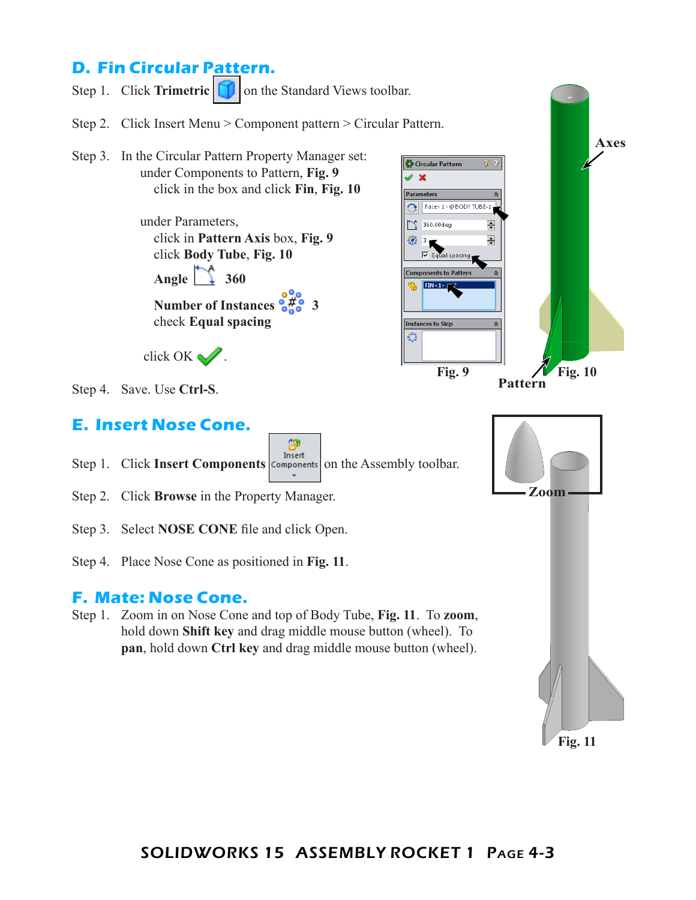## **D. Fin Circular Pattern.**



**Fig. 11**